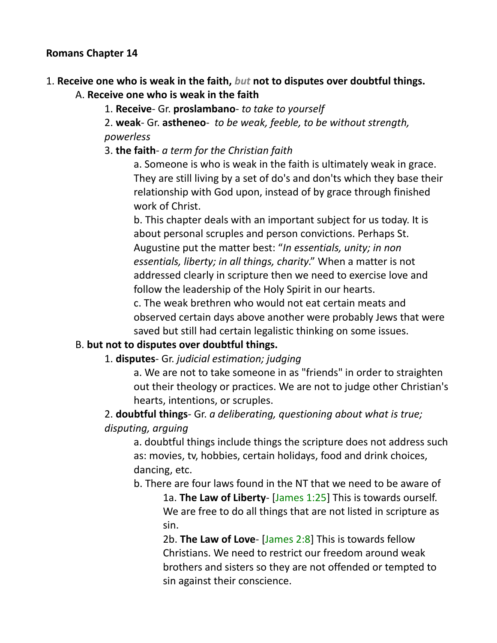#### **Romans Chapter 14**

## 1. **Receive one who is weak in the faith,** *but* **not to disputes over doubtful things.**

A. **Receive one who is weak in the faith**

1. **Receive**- Gr. **proslambano**- *to take to yourself*

2. **weak**- Gr. **astheneo**- *to be weak, feeble, to be without strength, powerless*

3. **the faith**- *a term for the Christian faith*

a. Someone is who is weak in the faith is ultimately weak in grace. They are still living by a set of do's and don'ts which they base their relationship with God upon, instead of by grace through finished work of Christ.

b. This chapter deals with an important subject for us today. It is about personal scruples and person convictions. Perhaps St. Augustine put the matter best: "*In essentials, unity; in non essentials, liberty; in all things, charity*." When a matter is not addressed clearly in scripture then we need to exercise love and follow the leadership of the Holy Spirit in our hearts.

c. The weak brethren who would not eat certain meats and observed certain days above another were probably Jews that were saved but still had certain legalistic thinking on some issues.

#### B. **but not to disputes over doubtful things.**

#### 1. **disputes**- Gr. *judicial estimation; judging*

a. We are not to take someone in as "friends" in order to straighten out their theology or practices. We are not to judge other Christian's hearts, intentions, or scruples.

### 2. **doubtful things**- Gr. *a deliberating, questioning about what is true; disputing, arguing*

a. doubtful things include things the scripture does not address such as: movies, tv, hobbies, certain holidays, food and drink choices, dancing, etc.

b. There are four laws found in the NT that we need to be aware of

1a. **The Law of Liberty**- [James 1:25] This is towards ourself. We are free to do all things that are not listed in scripture as sin.

2b. **The Law of Love**- [James 2:8] This is towards fellow Christians. We need to restrict our freedom around weak brothers and sisters so they are not offended or tempted to sin against their conscience.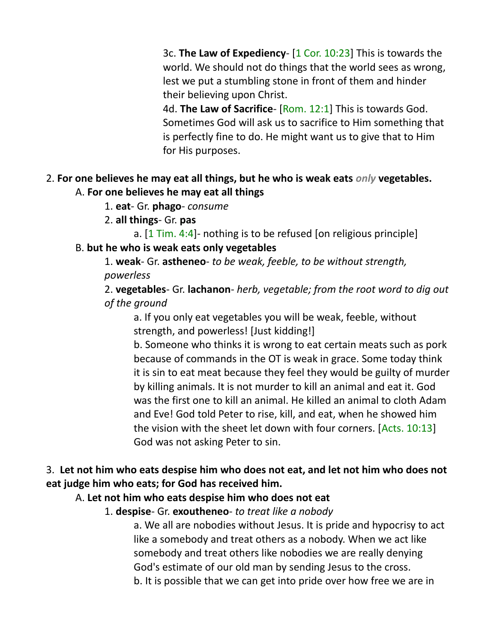3c. **The Law of Expediency**- [1 Cor. 10:23] This is towards the world. We should not do things that the world sees as wrong, lest we put a stumbling stone in front of them and hinder their believing upon Christ.

4d. **The Law of Sacrifice**- [Rom. 12:1] This is towards God. Sometimes God will ask us to sacrifice to Him something that is perfectly fine to do. He might want us to give that to Him for His purposes.

#### 2. **For one believes he may eat all things, but he who is weak eats** *only* **vegetables.** A. **For one believes he may eat all things**

- 1. **eat** Gr. **phago** *consume*
- 2. **all things** Gr. **pas**

a. [1 Tim. 4:4]- nothing is to be refused [on religious principle] B. **but he who is weak eats only vegetables**

1. **weak**- Gr. **astheneo**- *to be weak, feeble, to be without strength, powerless*

2. **vegetables**- Gr. **lachanon**- *herb, vegetable; from the root word to dig out of the ground*

a. If you only eat vegetables you will be weak, feeble, without strength, and powerless! [Just kidding!]

b. Someone who thinks it is wrong to eat certain meats such as pork because of commands in the OT is weak in grace. Some today think it is sin to eat meat because they feel they would be guilty of murder by killing animals. It is not murder to kill an animal and eat it. God was the first one to kill an animal. He killed an animal to cloth Adam and Eve! God told Peter to rise, kill, and eat, when he showed him the vision with the sheet let down with four corners. [Acts. 10:13] God was not asking Peter to sin.

### 3. **Let not him who eats despise him who does not eat, and let not him who does not eat judge him who eats; for God has received him.**

#### A. **Let not him who eats despise him who does not eat**

1. **despise**- Gr. **exoutheneo**- *to treat like a nobody*

a. We all are nobodies without Jesus. It is pride and hypocrisy to act like a somebody and treat others as a nobody. When we act like somebody and treat others like nobodies we are really denying God's estimate of our old man by sending Jesus to the cross. b. It is possible that we can get into pride over how free we are in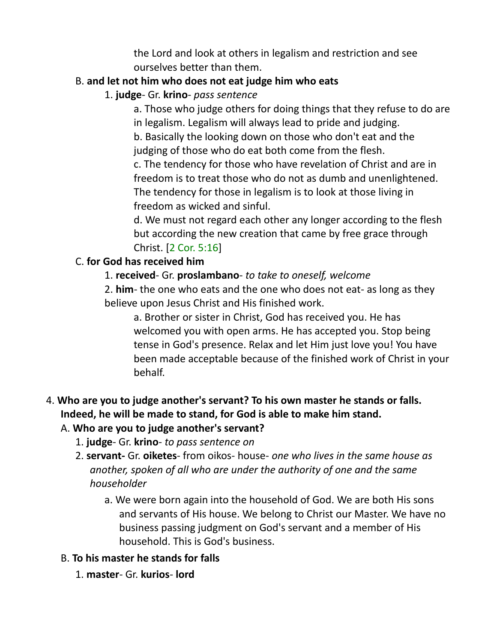the Lord and look at others in legalism and restriction and see ourselves better than them.

### B. **and let not him who does not eat judge him who eats**

### 1. **judge**- Gr. **krino**- *pass sentence*

a. Those who judge others for doing things that they refuse to do are in legalism. Legalism will always lead to pride and judging.

b. Basically the looking down on those who don't eat and the judging of those who do eat both come from the flesh.

c. The tendency for those who have revelation of Christ and are in freedom is to treat those who do not as dumb and unenlightened. The tendency for those in legalism is to look at those living in freedom as wicked and sinful.

d. We must not regard each other any longer according to the flesh but according the new creation that came by free grace through Christ. [2 Cor. 5:16]

### C. **for God has received him**

### 1. **received**- Gr. **proslambano**- *to take to oneself, welcome*

2. **him**- the one who eats and the one who does not eat- as long as they believe upon Jesus Christ and His finished work.

a. Brother or sister in Christ, God has received you. He has welcomed you with open arms. He has accepted you. Stop being tense in God's presence. Relax and let Him just love you! You have been made acceptable because of the finished work of Christ in your behalf.

# 4. **Who are you to judge another's servant? To his own master he stands or falls. Indeed, he will be made to stand, for God is able to make him stand.**

# A. **Who are you to judge another's servant?**

- 1. **judge** Gr. **krino** *to pass sentence on*
- 2. **servant-** Gr. **oiketes** from oikos- house- *one who lives in the same house as another, spoken of all who are under the authority of one and the same householder*
	- a. We were born again into the household of God. We are both His sons and servants of His house. We belong to Christ our Master. We have no business passing judgment on God's servant and a member of His household. This is God's business.

# B. **To his master he stands for falls**

1. **master**- Gr. **kurios**- **lord**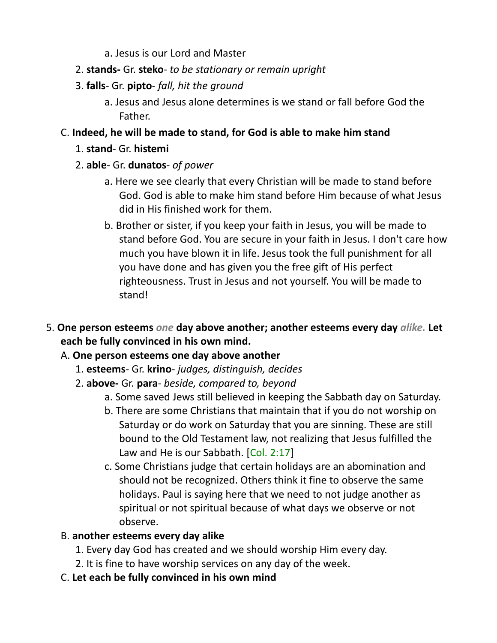- a. Jesus is our Lord and Master
- 2. **stands-** Gr. **steko** *to be stationary or remain upright*
- 3. **falls** Gr. **pipto** *fall, hit the ground*
	- a. Jesus and Jesus alone determines is we stand or fall before God the Father.
- C. **Indeed, he will be made to stand, for God is able to make him stand**
	- 1. **stand** Gr. **histemi**
	- 2. **able** Gr. **dunatos** *of power*
		- a. Here we see clearly that every Christian will be made to stand before God. God is able to make him stand before Him because of what Jesus did in His finished work for them.
		- b. Brother or sister, if you keep your faith in Jesus, you will be made to stand before God. You are secure in your faith in Jesus. I don't care how much you have blown it in life. Jesus took the full punishment for all you have done and has given you the free gift of His perfect righteousness. Trust in Jesus and not yourself. You will be made to stand!
- 5. **One person esteems** *one* **day above another; another esteems every day** *alike.* **Let each be fully convinced in his own mind.**
	- A. **One person esteems one day above another**
		- 1. **esteems** Gr. **krino** *judges, distinguish, decides*
		- 2. **above-** Gr. **para** *beside, compared to, beyond*
			- a. Some saved Jews still believed in keeping the Sabbath day on Saturday.
			- b. There are some Christians that maintain that if you do not worship on Saturday or do work on Saturday that you are sinning. These are still bound to the Old Testament law, not realizing that Jesus fulfilled the Law and He is our Sabbath. [Col. 2:17]
			- c. Some Christians judge that certain holidays are an abomination and should not be recognized. Others think it fine to observe the same holidays. Paul is saying here that we need to not judge another as spiritual or not spiritual because of what days we observe or not observe.
	- B. **another esteems every day alike**
		- 1. Every day God has created and we should worship Him every day.
		- 2. It is fine to have worship services on any day of the week.
	- C. **Let each be fully convinced in his own mind**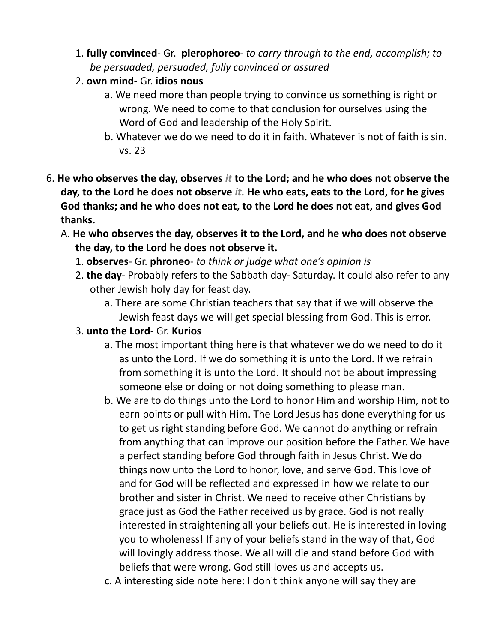- 1. **fully convinced** Gr. **plerophoreo** *to carry through to the end, accomplish; to be persuaded, persuaded, fully convinced or assured*
- 2. **own mind** Gr. **idios nous**
	- a. We need more than people trying to convince us something is right or wrong. We need to come to that conclusion for ourselves using the Word of God and leadership of the Holy Spirit.
	- b. Whatever we do we need to do it in faith. Whatever is not of faith is sin. vs. 23
- 6. **He who observes the day, observes** *it* **to the Lord; and he who does not observe the day, to the Lord he does not observe** *it.* **He who eats, eats to the Lord, for he gives God thanks; and he who does not eat, to the Lord he does not eat, and gives God thanks.** 
	- A. **He who observes the day, observes it to the Lord, and he who does not observe the day, to the Lord he does not observe it.**
		- 1. **observes** Gr. **phroneo** *to think or judge what one's opinion is*
		- 2. **the day** Probably refers to the Sabbath day- Saturday. It could also refer to any other Jewish holy day for feast day.
			- a. There are some Christian teachers that say that if we will observe the Jewish feast days we will get special blessing from God. This is error.
		- 3. **unto the Lord** Gr. **Kurios**
			- a. The most important thing here is that whatever we do we need to do it as unto the Lord. If we do something it is unto the Lord. If we refrain from something it is unto the Lord. It should not be about impressing someone else or doing or not doing something to please man.
			- b. We are to do things unto the Lord to honor Him and worship Him, not to earn points or pull with Him. The Lord Jesus has done everything for us to get us right standing before God. We cannot do anything or refrain from anything that can improve our position before the Father. We have a perfect standing before God through faith in Jesus Christ. We do things now unto the Lord to honor, love, and serve God. This love of and for God will be reflected and expressed in how we relate to our brother and sister in Christ. We need to receive other Christians by grace just as God the Father received us by grace. God is not really interested in straightening all your beliefs out. He is interested in loving you to wholeness! If any of your beliefs stand in the way of that, God will lovingly address those. We all will die and stand before God with beliefs that were wrong. God still loves us and accepts us.
			- c. A interesting side note here: I don't think anyone will say they are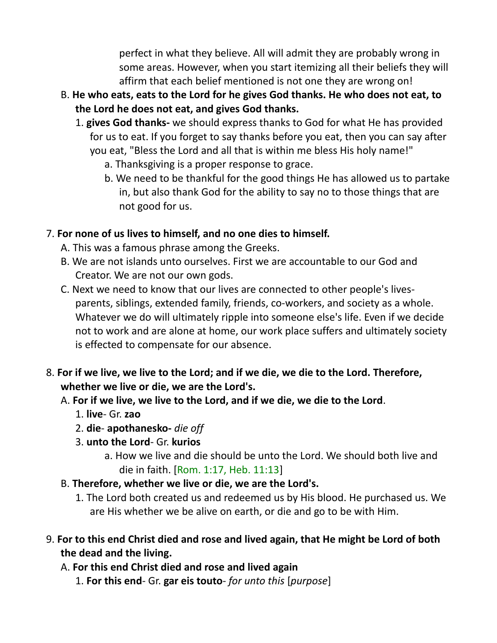perfect in what they believe. All will admit they are probably wrong in some areas. However, when you start itemizing all their beliefs they will affirm that each belief mentioned is not one they are wrong on!

- B. **He who eats, eats to the Lord for he gives God thanks. He who does not eat, to the Lord he does not eat, and gives God thanks.**
	- 1. **gives God thanks-** we should express thanks to God for what He has provided for us to eat. If you forget to say thanks before you eat, then you can say after you eat, "Bless the Lord and all that is within me bless His holy name!"
		- a. Thanksgiving is a proper response to grace.
		- b. We need to be thankful for the good things He has allowed us to partake in, but also thank God for the ability to say no to those things that are not good for us.

### 7. **For none of us lives to himself, and no one dies to himself.**

- A. This was a famous phrase among the Greeks.
- B. We are not islands unto ourselves. First we are accountable to our God and Creator. We are not our own gods.
- C. Next we need to know that our lives are connected to other people's livesparents, siblings, extended family, friends, co-workers, and society as a whole. Whatever we do will ultimately ripple into someone else's life. Even if we decide not to work and are alone at home, our work place suffers and ultimately society is effected to compensate for our absence.
- 8. **For if we live, we live to the Lord; and if we die, we die to the Lord. Therefore, whether we live or die, we are the Lord's.** 
	- A. **For if we live, we live to the Lord, and if we die, we die to the Lord**.
		- 1. **live** Gr. **zao**
		- 2. **die apothanesko-** *die off*
		- 3. **unto the Lord** Gr. **kurios**
			- a. How we live and die should be unto the Lord. We should both live and die in faith. [Rom. 1:17, Heb. 11:13]
	- B. **Therefore, whether we live or die, we are the Lord's.**
		- 1. The Lord both created us and redeemed us by His blood. He purchased us. We are His whether we be alive on earth, or die and go to be with Him.
- 9. **For to this end Christ died and rose and lived again, that He might be Lord of both the dead and the living.**
	- A. **For this end Christ died and rose and lived again**
		- 1. **For this end** Gr. **gar eis touto** *for unto this* [*purpose*]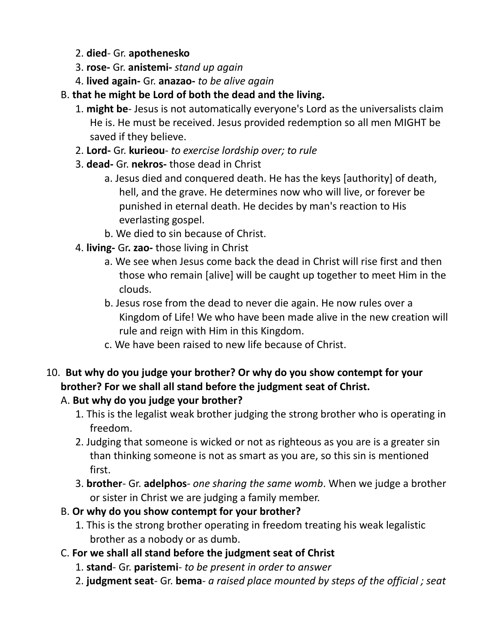- 2. **died** Gr. **apothenesko**
- 3. **rose-** Gr. **anistemi-** *stand up again*
- 4. **lived again-** Gr. **anazao-** *to be alive again*
- B. **that he might be Lord of both the dead and the living.**
	- 1. **might be** Jesus is not automatically everyone's Lord as the universalists claim He is. He must be received. Jesus provided redemption so all men MIGHT be saved if they believe.
	- 2. **Lord-** Gr. **kurieou** *to exercise lordship over; to rule*
	- 3. **dead-** Gr. **nekros-** those dead in Christ
		- a. Jesus died and conquered death. He has the keys [authority] of death, hell, and the grave. He determines now who will live, or forever be punished in eternal death. He decides by man's reaction to His everlasting gospel.
		- b. We died to sin because of Christ.
	- 4. **living-** Gr**. zao-** those living in Christ
		- a. We see when Jesus come back the dead in Christ will rise first and then those who remain [alive] will be caught up together to meet Him in the clouds.
		- b. Jesus rose from the dead to never die again. He now rules over a Kingdom of Life! We who have been made alive in the new creation will rule and reign with Him in this Kingdom.
		- c. We have been raised to new life because of Christ.
- 10. **But why do you judge your brother? Or why do you show contempt for your brother? For we shall all stand before the judgment seat of Christ.**

# A. **But why do you judge your brother?**

- 1. This is the legalist weak brother judging the strong brother who is operating in freedom.
- 2. Judging that someone is wicked or not as righteous as you are is a greater sin than thinking someone is not as smart as you are, so this sin is mentioned first.
- 3. **brother** Gr. **adelphos** *one sharing the same womb*. When we judge a brother or sister in Christ we are judging a family member.
- B. **Or why do you show contempt for your brother?**
	- 1. This is the strong brother operating in freedom treating his weak legalistic brother as a nobody or as dumb.
- C. **For we shall all stand before the judgment seat of Christ**
	- 1. **stand** Gr. **paristemi** *to be present in order to answer*
	- 2. **judgment seat** Gr. **bema** *a raised place mounted by steps of the official ; seat*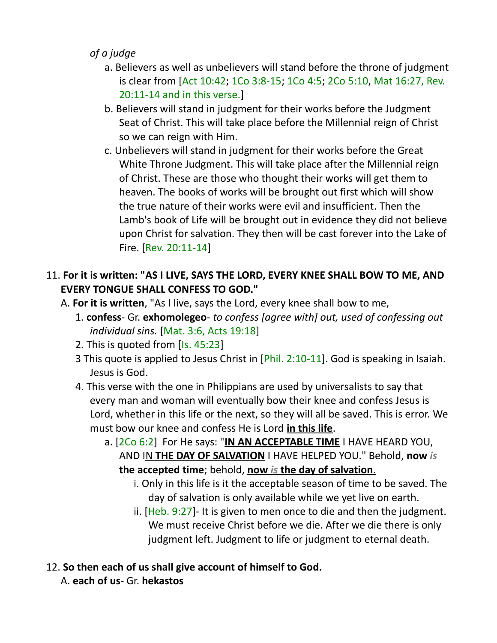## *of a judge*

- a. Believers as well as unbelievers will stand before the throne of judgment is clear from [Act 10:42; 1Co 3:8-15; 1Co 4:5; 2Co 5:10, Mat 16:27, Rev. 20:11-14 and in this verse.]
- b. Believers will stand in judgment for their works before the Judgment Seat of Christ. This will take place before the Millennial reign of Christ so we can reign with Him.
- c. Unbelievers will stand in judgment for their works before the Great White Throne Judgment. This will take place after the Millennial reign of Christ. These are those who thought their works will get them to heaven. The books of works will be brought out first which will show the true nature of their works were evil and insufficient. Then the Lamb's book of Life will be brought out in evidence they did not believe upon Christ for salvation. They then will be cast forever into the Lake of Fire. [Rev. 20:11-14]

# 11. **For it is written: "AS I LIVE, SAYS THE LORD, EVERY KNEE SHALL BOW TO ME, AND EVERY TONGUE SHALL CONFESS TO GOD."**

- A. **For it is written**, "As I live, says the Lord, every knee shall bow to me,
	- 1. **confess** Gr. **exhomolegeo** *to confess [agree with] out, used of confessing out individual sins.* [Mat. 3:6, Acts 19:18]
	- 2. This is quoted from [Is. 45:23]
	- 3 This quote is applied to Jesus Christ in [Phil. 2:10-11]. God is speaking in Isaiah. Jesus is God.
	- 4. This verse with the one in Philippians are used by universalists to say that every man and woman will eventually bow their knee and confess Jesus is Lord, whether in this life or the next, so they will all be saved. This is error. We must bow our knee and confess He is Lord **in this life**.
		- a. [2Co 6:2] For He says: "**IN AN ACCEPTABLE TIME** I HAVE HEARD YOU, AND IN **THE DAY OF SALVATION** I HAVE HELPED YOU." Behold, **now** *is* **the accepted time**; behold, **now** *is* **the day of salvation** .
			- i. Only in this life is it the acceptable season of time to be saved. The day of salvation is only available while we yet live on earth.
			- ii.  $[Heb. 9:27]$  It is given to men once to die and then the judgment. We must receive Christ before we die. After we die there is only judgment left. Judgment to life or judgment to eternal death.

# 12. **So then each of us shall give account of himself to God.**

A. **each of us**- Gr. **hekastos**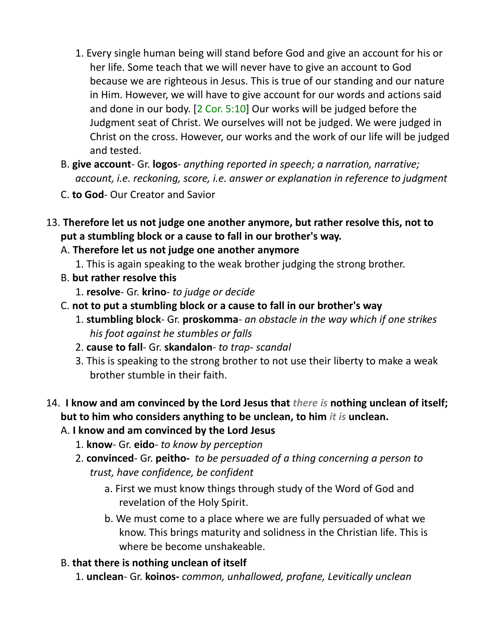- 1. Every single human being will stand before God and give an account for his or her life. Some teach that we will never have to give an account to God because we are righteous in Jesus. This is true of our standing and our nature in Him. However, we will have to give account for our words and actions said and done in our body. [2 Cor. 5:10] Our works will be judged before the Judgment seat of Christ. We ourselves will not be judged. We were judged in Christ on the cross. However, our works and the work of our life will be judged and tested.
- B. **give account** Gr. **logos** *anything reported in speech; a narration, narrative; account, i.e. reckoning, score, i.e. answer or explanation in reference to judgment*
- C. **to God** Our Creator and Savior
- 13. **Therefore let us not judge one another anymore, but rather resolve this, not to put a stumbling block or a cause to fall in our brother's way.**
	- A. **Therefore let us not judge one another anymore**
		- 1. This is again speaking to the weak brother judging the strong brother.
	- B. **but rather resolve this**
		- 1. **resolve** Gr. **krino** *to judge or decide*
	- C. **not to put a stumbling block or a cause to fall in our brother's way**
		- 1. **stumbling block** Gr. **proskomma** *an obstacle in the way which if one strikes his foot against he stumbles or falls*
		- 2. **cause to fall** Gr. **skandalon**- *to trap- scandal*
		- 3. This is speaking to the strong brother to not use their liberty to make a weak brother stumble in their faith.

# 14. **I know and am convinced by the Lord Jesus that** *there is* **nothing unclean of itself; but to him who considers anything to be unclean, to him** *it is* **unclean.**

### A. **I know and am convinced by the Lord Jesus**

- 1. **know** Gr. **eido** *to know by perception*
- 2. **convinced** Gr. **peitho-** *to be persuaded of a thing concerning a person to trust, have confidence, be confident*
	- a. First we must know things through study of the Word of God and revelation of the Holy Spirit.
	- b. We must come to a place where we are fully persuaded of what we know. This brings maturity and solidness in the Christian life. This is where be become unshakeable.

### B. **that there is nothing unclean of itself**

1. **unclean**- Gr. **koinos-** *common, unhallowed, profane, Levitically unclean*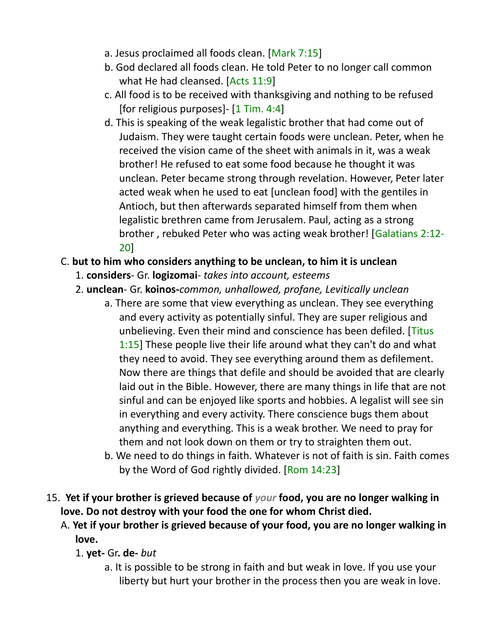- a. Jesus proclaimed all foods clean. [Mark 7:15]
- b. God declared all foods clean. He told Peter to no longer call common what He had cleansed. [Acts 11:9]
- c. All food is to be received with thanksgiving and nothing to be refused [for religious purposes] $-[1]$  Tim. 4:4]
- d. This is speaking of the weak legalistic brother that had come out of Judaism. They were taught certain foods were unclean. Peter, when he received the vision came of the sheet with animals in it, was a weak brother! He refused to eat some food because he thought it was unclean. Peter became strong through revelation. However, Peter later acted weak when he used to eat [unclean food] with the gentiles in Antioch, but then afterwards separated himself from them when legalistic brethren came from Jerusalem. Paul, acting as a strong brother , rebuked Peter who was acting weak brother! [Galatians 2:12- 20]

### C. **but to him who considers anything to be unclean, to him it is unclean**

- 1. **considers** Gr. **logizomai** *takes into account, esteems*
- 2. **unclean** Gr. **koinos-***common, unhallowed, profane, Levitically unclean*
	- a. There are some that view everything as unclean. They see everything and every activity as potentially sinful. They are super religious and unbelieving. Even their mind and conscience has been defiled. [Titus] 1:15] These people live their life around what they can't do and what they need to avoid. They see everything around them as defilement. Now there are things that defile and should be avoided that are clearly laid out in the Bible. However, there are many things in life that are not sinful and can be enjoyed like sports and hobbies. A legalist will see sin in everything and every activity. There conscience bugs them about anything and everything. This is a weak brother. We need to pray for them and not look down on them or try to straighten them out.
	- b. We need to do things in faith. Whatever is not of faith is sin. Faith comes by the Word of God rightly divided. [Rom 14:23]
- 15. **Yet if your brother is grieved because of** *your* **food, you are no longer walking in love. Do not destroy with your food the one for whom Christ died.** 
	- A. **Yet if your brother is grieved because of your food, you are no longer walking in love.**

### 1. **yet-** Gr**. de-** *but*

a. It is possible to be strong in faith and but weak in love. If you use your liberty but hurt your brother in the process then you are weak in love.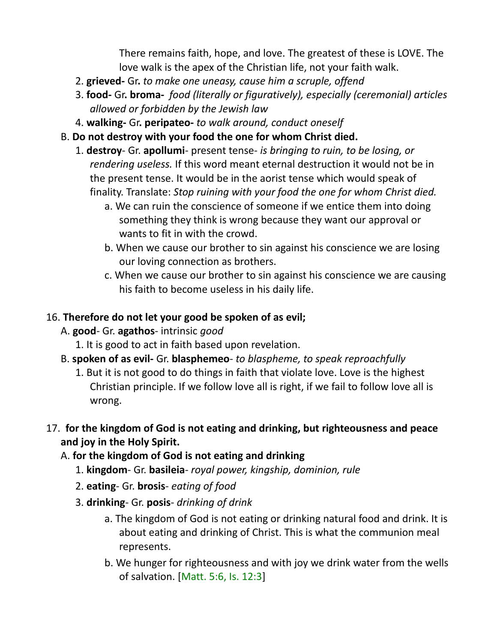There remains faith, hope, and love. The greatest of these is LOVE. The love walk is the apex of the Christian life, not your faith walk.

- 2. **grieved-** Gr**.** *to make one uneasy, cause him a scruple, offend*
- 3. **food-** Gr**. broma-** *food (literally or figuratively), especially (ceremonial) articles allowed or forbidden by the Jewish law*
- 4. **walking-** Gr**. peripateo-** *to walk around, conduct oneself*
- B. **Do not destroy with your food the one for whom Christ died.**
	- 1. **destroy** Gr. **apollumi** present tense- *is bringing to ruin, to be losing, or rendering useless.* If this word meant eternal destruction it would not be in the present tense. It would be in the aorist tense which would speak of finality. Translate: *Stop ruining with your food the one for whom Christ died.*
		- a. We can ruin the conscience of someone if we entice them into doing something they think is wrong because they want our approval or wants to fit in with the crowd.
		- b. When we cause our brother to sin against his conscience we are losing our loving connection as brothers.
		- c. When we cause our brother to sin against his conscience we are causing his faith to become useless in his daily life.

#### 16. **Therefore do not let your good be spoken of as evil;**

- A. **good** Gr. **agathos** intrinsic *good*
	- 1. It is good to act in faith based upon revelation.
- B. **spoken of as evil-** Gr. **blasphemeo** *to blaspheme, to speak reproachfully*
	- 1. But it is not good to do things in faith that violate love. Love is the highest Christian principle. If we follow love all is right, if we fail to follow love all is wrong.
- 17. **for the kingdom of God is not eating and drinking, but righteousness and peace and joy in the Holy Spirit.** 
	- A. **for the kingdom of God is not eating and drinking**
		- 1. **kingdom** Gr. **basileia** *royal power, kingship, dominion, rule*
		- 2. **eating** Gr. **brosis** *eating of food*
		- 3. **drinking** Gr. **posis** *drinking of drink*
			- a. The kingdom of God is not eating or drinking natural food and drink. It is about eating and drinking of Christ. This is what the communion meal represents.
			- b. We hunger for righteousness and with joy we drink water from the wells of salvation. [Matt. 5:6, Is. 12:3]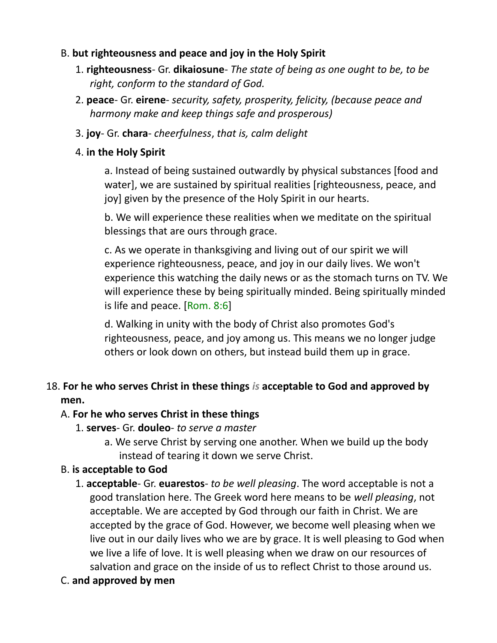### B. **but righteousness and peace and joy in the Holy Spirit**

- 1. **righteousness** Gr. **dikaiosune** *The state of being as one ought to be, to be right, conform to the standard of God.*
- 2. **peace** Gr. **eirene** *security, safety, prosperity, felicity, (because peace and harmony make and keep things safe and prosperous)*
- 3. **joy** Gr. **chara** *cheerfulness*, *that is, calm delight*

### 4. **in the Holy Spirit**

a. Instead of being sustained outwardly by physical substances [food and water], we are sustained by spiritual realities [righteousness, peace, and joy] given by the presence of the Holy Spirit in our hearts.

b. We will experience these realities when we meditate on the spiritual blessings that are ours through grace.

c. As we operate in thanksgiving and living out of our spirit we will experience righteousness, peace, and joy in our daily lives. We won't experience this watching the daily news or as the stomach turns on TV. We will experience these by being spiritually minded. Being spiritually minded is life and peace. [Rom. 8:6]

d. Walking in unity with the body of Christ also promotes God's righteousness, peace, and joy among us. This means we no longer judge others or look down on others, but instead build them up in grace.

# 18. **For he who serves Christ in these things** *is* **acceptable to God and approved by men.**

#### A. **For he who serves Christ in these things**

- 1. **serves** Gr. **douleo** *to serve a master*
	- a. We serve Christ by serving one another. When we build up the body instead of tearing it down we serve Christ.

### B. **is acceptable to God**

- 1. **acceptable** Gr. **euarestos** *to be well pleasing*. The word acceptable is not a good translation here. The Greek word here means to be *well pleasing*, not acceptable. We are accepted by God through our faith in Christ. We are accepted by the grace of God. However, we become well pleasing when we live out in our daily lives who we are by grace. It is well pleasing to God when we live a life of love. It is well pleasing when we draw on our resources of salvation and grace on the inside of us to reflect Christ to those around us.
- C. **and approved by men**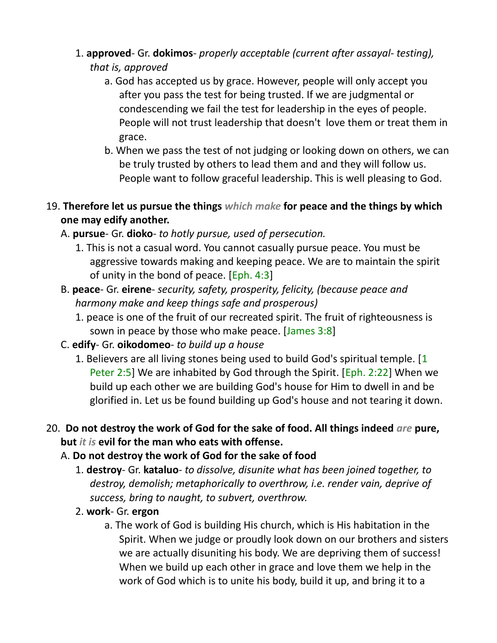- 1. **approved** Gr. **dokimos** *properly acceptable (current after assayal- testing), that is, approved*
	- a. God has accepted us by grace. However, people will only accept you after you pass the test for being trusted. If we are judgmental or condescending we fail the test for leadership in the eyes of people. People will not trust leadership that doesn't love them or treat them in grace.
	- b. When we pass the test of not judging or looking down on others, we can be truly trusted by others to lead them and and they will follow us. People want to follow graceful leadership. This is well pleasing to God.
- 19. **Therefore let us pursue the things** *which make* **for peace and the things by which one may edify another.**
	- A. **pursue** Gr. **dioko** *to hotly pursue, used of persecution.*
		- 1. This is not a casual word. You cannot casually pursue peace. You must be aggressive towards making and keeping peace. We are to maintain the spirit of unity in the bond of peace. [Eph. 4:3]
	- B. **peace** Gr. **eirene** *security, safety, prosperity, felicity, (because peace and harmony make and keep things safe and prosperous)*
		- 1. peace is one of the fruit of our recreated spirit. The fruit of righteousness is sown in peace by those who make peace. [James 3:8]
	- C. **edify** Gr. **oikodomeo** *to build up a house*
		- 1. Believers are all living stones being used to build God's spiritual temple. [1 Peter 2:5] We are inhabited by God through the Spirit. [Eph. 2:22] When we build up each other we are building God's house for Him to dwell in and be glorified in. Let us be found building up God's house and not tearing it down.
- 20. **Do not destroy the work of God for the sake of food. All things indeed** *are* **pure, but** *it is* **evil for the man who eats with offense.**
	- A. **Do not destroy the work of God for the sake of food**
		- 1. **destroy** Gr. **kataluo** *to dissolve, disunite what has been joined together, to destroy, demolish; metaphorically to overthrow, i.e. render vain, deprive of success, bring to naught, to subvert, overthrow.*
		- 2. **work** Gr. **ergon**
			- a. The work of God is building His church, which is His habitation in the Spirit. When we judge or proudly look down on our brothers and sisters we are actually disuniting his body. We are depriving them of success! When we build up each other in grace and love them we help in the work of God which is to unite his body, build it up, and bring it to a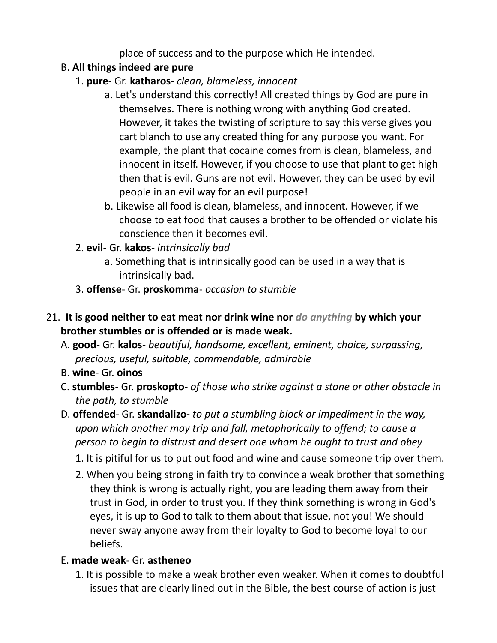place of success and to the purpose which He intended.

# B. **All things indeed are pure**

- 1. **pure** Gr. **katharos** *clean, blameless, innocent*
	- a. Let's understand this correctly! All created things by God are pure in themselves. There is nothing wrong with anything God created. However, it takes the twisting of scripture to say this verse gives you cart blanch to use any created thing for any purpose you want. For example, the plant that cocaine comes from is clean, blameless, and innocent in itself. However, if you choose to use that plant to get high then that is evil. Guns are not evil. However, they can be used by evil people in an evil way for an evil purpose!
	- b. Likewise all food is clean, blameless, and innocent. However, if we choose to eat food that causes a brother to be offended or violate his conscience then it becomes evil.
- 2. **evil** Gr. **kakos** *intrinsically bad*
	- a. Something that is intrinsically good can be used in a way that is intrinsically bad.
- 3. **offense** Gr. **proskomma** *occasion to stumble*
- 21. **It is good neither to eat meat nor drink wine nor** *do anything* **by which your brother stumbles or is offended or is made weak.** 
	- A. **good** Gr. **kalos** *beautiful, handsome, excellent, eminent, choice, surpassing, precious, useful, suitable, commendable, admirable*
	- B. **wine** Gr. **oinos**
	- C. **stumbles** Gr. **proskopto-** *of those who strike against a stone or other obstacle in the path, to stumble*
	- D. **offended** Gr. **skandalizo-** *to put a stumbling block or impediment in the way, upon which another may trip and fall, metaphorically to offend; to cause a person to begin to distrust and desert one whom he ought to trust and obey*
		- 1. It is pitiful for us to put out food and wine and cause someone trip over them.
		- 2. When you being strong in faith try to convince a weak brother that something they think is wrong is actually right, you are leading them away from their trust in God, in order to trust you. If they think something is wrong in God's eyes, it is up to God to talk to them about that issue, not you! We should never sway anyone away from their loyalty to God to become loyal to our beliefs.

# E. **made weak**- Gr. **astheneo**

1. It is possible to make a weak brother even weaker. When it comes to doubtful issues that are clearly lined out in the Bible, the best course of action is just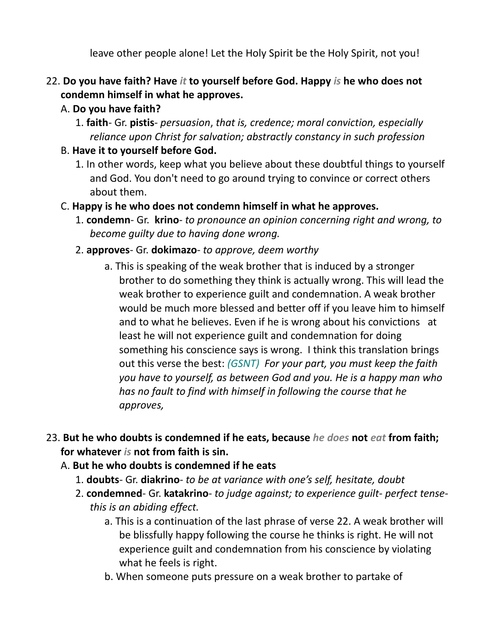leave other people alone! Let the Holy Spirit be the Holy Spirit, not you!

### 22. **Do you have faith? Have** *it* **to yourself before God. Happy** *is* **he who does not condemn himself in what he approves.**

### A. **Do you have faith?**

- 1. **faith** Gr. **pistis** *persuasion*, *that is, credence; moral conviction, especially reliance upon Christ for salvation; abstractly constancy in such profession*
- B. **Have it to yourself before God.**
	- 1. In other words, keep what you believe about these doubtful things to yourself and God. You don't need to go around trying to convince or correct others about them.
- C. **Happy is he who does not condemn himself in what he approves.**
	- 1. **condemn** Gr. **krino** *to pronounce an opinion concerning right and wrong, to become guilty due to having done wrong.*
	- 2. **approves** Gr. **dokimazo** *to approve, deem worthy*
		- a. This is speaking of the weak brother that is induced by a stronger brother to do something they think is actually wrong. This will lead the weak brother to experience guilt and condemnation. A weak brother would be much more blessed and better off if you leave him to himself and to what he believes. Even if he is wrong about his convictions at least he will not experience guilt and condemnation for doing something his conscience says is wrong. I think this translation brings out this verse the best: *(GSNT) For your part, you must keep the faith you have to yourself, as between God and you. He is a happy man who has no fault to find with himself in following the course that he approves,*
- 23. **But he who doubts is condemned if he eats, because** *he does* **not** *eat* **from faith; for whatever** *is* **not from faith is sin.**
	- A. **But he who doubts is condemned if he eats**
		- 1. **doubts** Gr. **diakrino** *to be at variance with one's self, hesitate, doubt*
		- 2. **condemned** Gr. **katakrino** *to judge against; to experience guilt- perfect tensethis is an abiding effect.*
			- a. This is a continuation of the last phrase of verse 22. A weak brother will be blissfully happy following the course he thinks is right. He will not experience guilt and condemnation from his conscience by violating what he feels is right.
			- b. When someone puts pressure on a weak brother to partake of